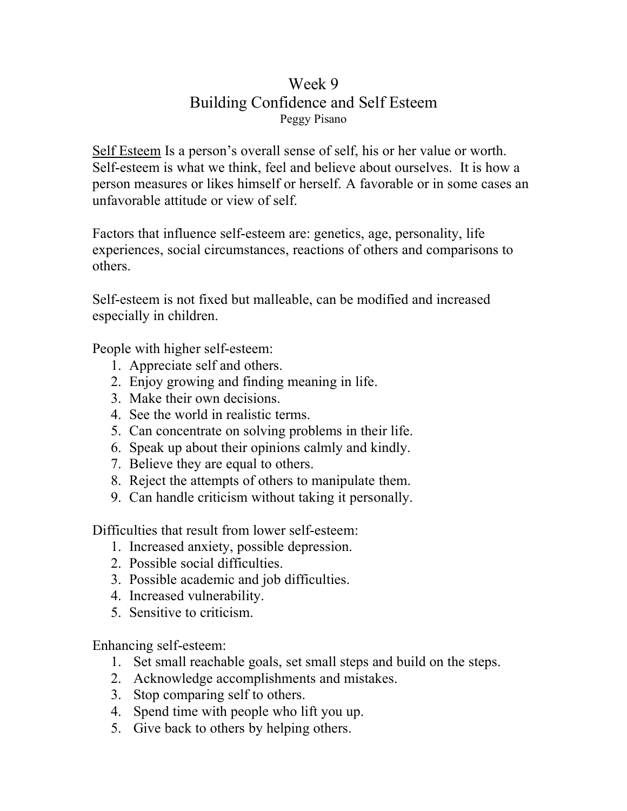## Week 9 Building Confidence and Self Esteem Peggy Pisano

Self Esteem Is a person's overall sense of self, his or her value or worth. Self-esteem is what we think, feel and believe about ourselves. It is how a person measures or likes himself or herself. A favorable or in some cases an unfavorable attitude or view of self.

Factors that influence self-esteem are: genetics, age, personality, life experiences, social circumstances, reactions of others and comparisons to others.

Self-esteem is not fixed but malleable, can be modified and increased especially in children.

People with higher self-esteem:

- 1. Appreciate self and others.
- 2. Enjoy growing and finding meaning in life.
- 3. Make their own decisions.
- 4. See the world in realistic terms.
- 5. Can concentrate on solving problems in their life.
- 6. Speak up about their opinions calmly and kindly.
- 7. Believe they are equal to others.
- 8. Reject the attempts of others to manipulate them.
- 9. Can handle criticism without taking it personally.

Difficulties that result from lower self-esteem:

- 1. Increased anxiety, possible depression.
- 2. Possible social difficulties.
- 3. Possible academic and job difficulties.
- 4. Increased vulnerability.
- 5. Sensitive to criticism.

Enhancing self-esteem:

- 1. Set small reachable goals, set small steps and build on the steps.
- 2. Acknowledge accomplishments and mistakes.
- 3. Stop comparing self to others.
- 4. Spend time with people who lift you up.
- 5. Give back to others by helping others.